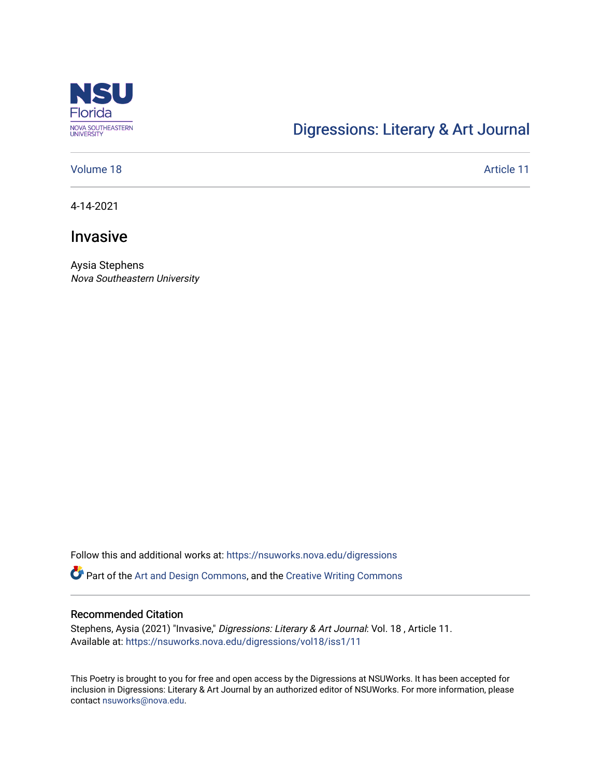

## [Digressions: Literary & Art Journal](https://nsuworks.nova.edu/digressions)

#### [Volume 18](https://nsuworks.nova.edu/digressions/vol18) Article 11

4-14-2021

## Invasive

Aysia Stephens Nova Southeastern University

Follow this and additional works at: [https://nsuworks.nova.edu/digressions](https://nsuworks.nova.edu/digressions?utm_source=nsuworks.nova.edu%2Fdigressions%2Fvol18%2Fiss1%2F11&utm_medium=PDF&utm_campaign=PDFCoverPages) 

Part of the [Art and Design Commons](http://network.bepress.com/hgg/discipline/1049?utm_source=nsuworks.nova.edu%2Fdigressions%2Fvol18%2Fiss1%2F11&utm_medium=PDF&utm_campaign=PDFCoverPages), and the [Creative Writing Commons](http://network.bepress.com/hgg/discipline/574?utm_source=nsuworks.nova.edu%2Fdigressions%2Fvol18%2Fiss1%2F11&utm_medium=PDF&utm_campaign=PDFCoverPages)

#### Recommended Citation

Stephens, Aysia (2021) "Invasive," Digressions: Literary & Art Journal: Vol. 18 , Article 11. Available at: [https://nsuworks.nova.edu/digressions/vol18/iss1/11](https://nsuworks.nova.edu/digressions/vol18/iss1/11?utm_source=nsuworks.nova.edu%2Fdigressions%2Fvol18%2Fiss1%2F11&utm_medium=PDF&utm_campaign=PDFCoverPages)

This Poetry is brought to you for free and open access by the Digressions at NSUWorks. It has been accepted for inclusion in Digressions: Literary & Art Journal by an authorized editor of NSUWorks. For more information, please contact [nsuworks@nova.edu.](mailto:nsuworks@nova.edu)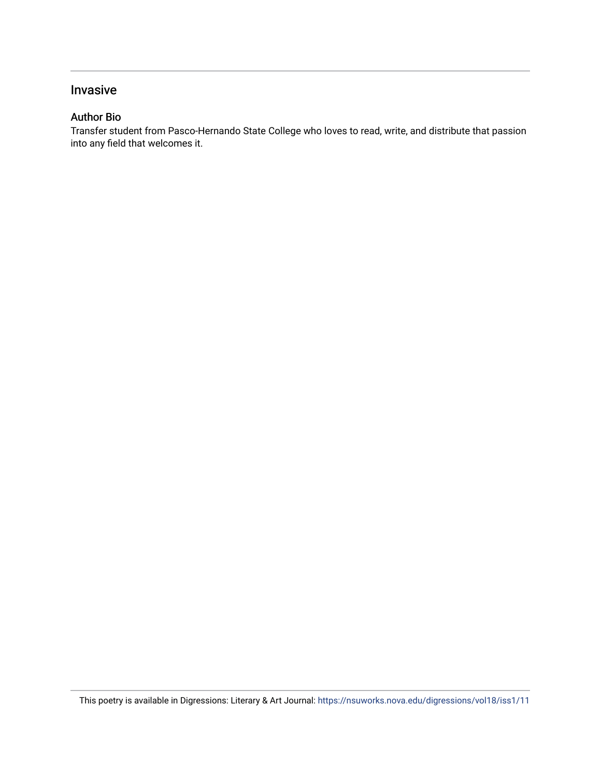### Invasive

#### Author Bio

Transfer student from Pasco-Hernando State College who loves to read, write, and distribute that passion into any field that welcomes it.

This poetry is available in Digressions: Literary & Art Journal: <https://nsuworks.nova.edu/digressions/vol18/iss1/11>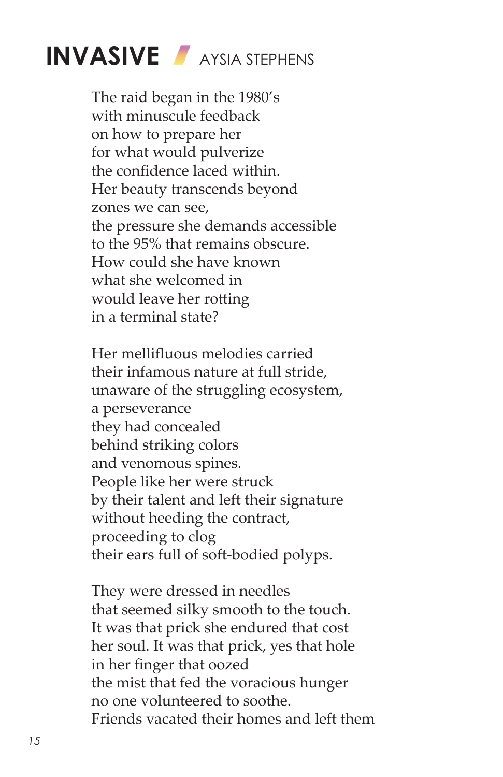# **INVASIVE** AYSIA STEPHENS

The raid began in the 1980's with minuscule feedback on how to prepare her for what would pulverize the confidence laced within. Her beauty transcends beyond zones we can see, the pressure she demands accessible to the 95% that remains obscure. How could she have known what she welcomed in would leave her rotting in a terminal state?

Her mellifluous melodies carried their infamous nature at full stride, unaware of the struggling ecosystem, a perseverance they had concealed behind striking colors and venomous spines. People like her were struck by their talent and left their signature without heeding the contract, proceeding to clog their ears full of soft-bodied polyps.

They were dressed in needles that seemed silky smooth to the touch. It was that prick she endured that cost her soul. It was that prick, yes that hole in her finger that oozed the mist that fed the voracious hunger no one volunteered to soothe. Friends vacated their homes and left them